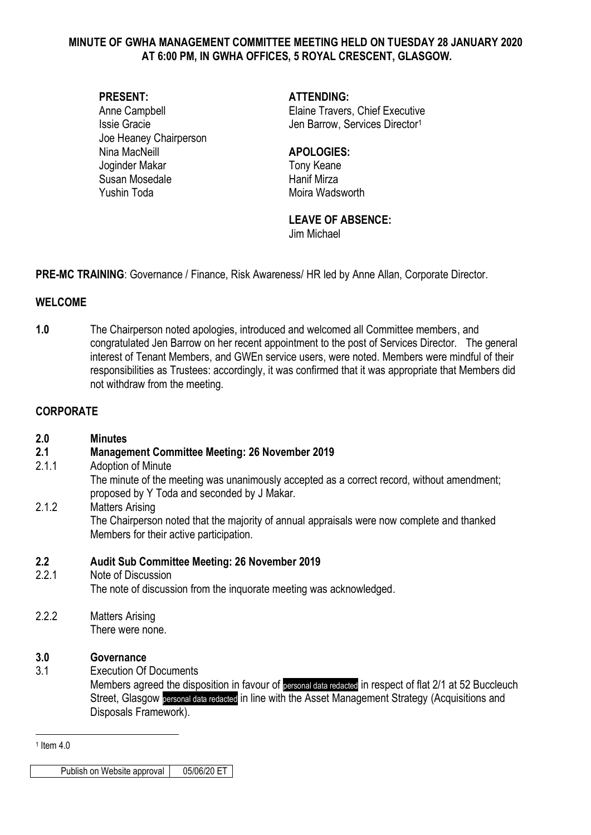#### **MINUTE OF GWHA MANAGEMENT COMMITTEE MEETING HELD ON TUESDAY 28 JANUARY 2020 AT 6:00 PM, IN GWHA OFFICES, 5 ROYAL CRESCENT, GLASGOW.**

Joe Heaney Chairperson Nina MacNeill **APOLOGIES:** Joginder Makar Tony Keane Susan Mosedale **Hanif Mirza** Yushin Toda Moira Wadsworth

**PRESENT: ATTENDING:**

Anne Campbell **Elaine Travers**, Chief Executive Issie Gracie **Internal and Services Director**<sup>1</sup>

#### **LEAVE OF ABSENCE:**

Jim Michael

**PRE-MC TRAINING**: Governance / Finance, Risk Awareness/ HR led by Anne Allan, Corporate Director.

### **WELCOME**

**1.0** The Chairperson noted apologies, introduced and welcomed all Committee members, and congratulated Jen Barrow on her recent appointment to the post of Services Director. The general interest of Tenant Members, and GWEn service users, were noted. Members were mindful of their responsibilities as Trustees: accordingly, it was confirmed that it was appropriate that Members did not withdraw from the meeting.

#### **CORPORATE**

| 2.0              | <b>Minutes</b>                                                                                                                            |
|------------------|-------------------------------------------------------------------------------------------------------------------------------------------|
| 2.1              | <b>Management Committee Meeting: 26 November 2019</b>                                                                                     |
| 2.1.1            | Adoption of Minute                                                                                                                        |
|                  | The minute of the meeting was unanimously accepted as a correct record, without amendment;<br>proposed by Y Toda and seconded by J Makar. |
| 2.1.2            | <b>Matters Arising</b>                                                                                                                    |
|                  | The Chairperson noted that the majority of annual appraisals were now complete and thanked<br>Members for their active participation.     |
| $2.2\phantom{0}$ | <b>Audit Sub Committee Meeting: 26 November 2019</b>                                                                                      |
| 2.2.1            | Note of Discussion                                                                                                                        |
|                  | The note of discussion from the inquorate meeting was acknowledged.                                                                       |
| 2.2.2            | <b>Matters Arising</b>                                                                                                                    |
|                  | There were none.                                                                                                                          |
| 3.0              | Governance                                                                                                                                |
| 3.1              | <b>Execution Of Documents</b>                                                                                                             |
|                  | Members agreed the disposition in favour of personal data redacted in respect of flat 2/1 at 52 Buccleuch                                 |
|                  | Street, Glasgow personal data redacted in line with the Asset Management Strategy (Acquisitions and                                       |
|                  | Disposals Framework).                                                                                                                     |

<u>.</u> 1 Item 4.0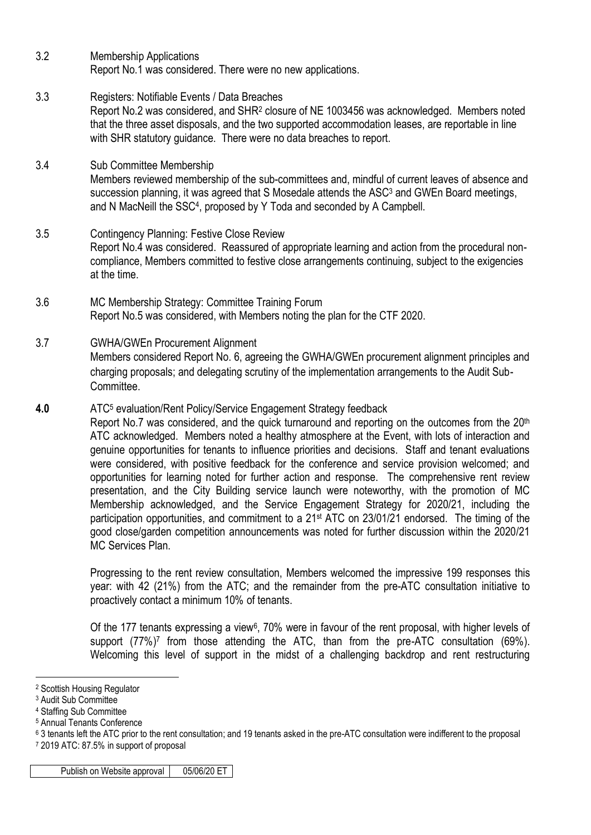- 3.2 Membership Applications Report No.1 was considered. There were no new applications.
- 3.3 Registers: Notifiable Events / Data Breaches Report No.2 was considered, and SHR<sup>2</sup> closure of NE 1003456 was acknowledged. Members noted that the three asset disposals, and the two supported accommodation leases, are reportable in line with SHR statutory guidance. There were no data breaches to report.
- 3.4 Sub Committee Membership Members reviewed membership of the sub-committees and, mindful of current leaves of absence and succession planning, it was agreed that S Mosedale attends the ASC<sup>3</sup> and GWEn Board meetings, and N MacNeill the SSC<sup>4</sup> , proposed by Y Toda and seconded by A Campbell.
- 3.5 Contingency Planning: Festive Close Review Report No.4 was considered. Reassured of appropriate learning and action from the procedural noncompliance, Members committed to festive close arrangements continuing, subject to the exigencies at the time.
- 3.6 MC Membership Strategy: Committee Training Forum Report No.5 was considered, with Members noting the plan for the CTF 2020.
- 3.7 GWHA/GWEn Procurement Alignment Members considered Report No. 6, agreeing the GWHA/GWEn procurement alignment principles and charging proposals; and delegating scrutiny of the implementation arrangements to the Audit Sub-Committee.
- **4.0** ATC<sup>5</sup> evaluation/Rent Policy/Service Engagement Strategy feedback Report No.7 was considered, and the quick turnaround and reporting on the outcomes from the 20<sup>th</sup> ATC acknowledged. Members noted a healthy atmosphere at the Event, with lots of interaction and genuine opportunities for tenants to influence priorities and decisions. Staff and tenant evaluations were considered, with positive feedback for the conference and service provision welcomed; and opportunities for learning noted for further action and response. The comprehensive rent review presentation, and the City Building service launch were noteworthy, with the promotion of MC Membership acknowledged, and the Service Engagement Strategy for 2020/21, including the participation opportunities, and commitment to a 21<sup>st</sup> ATC on 23/01/21 endorsed. The timing of the good close/garden competition announcements was noted for further discussion within the 2020/21 MC Services Plan.

Progressing to the rent review consultation, Members welcomed the impressive 199 responses this year: with 42 (21%) from the ATC; and the remainder from the pre-ATC consultation initiative to proactively contact a minimum 10% of tenants.

Of the 177 tenants expressing a view<sup>6</sup>, 70% were in favour of the rent proposal, with higher levels of support (77%)<sup>7</sup> from those attending the ATC, than from the pre-ATC consultation (69%). Welcoming this level of support in the midst of a challenging backdrop and rent restructuring

1

<sup>2</sup> Scottish Housing Regulator

<sup>3</sup> Audit Sub Committee

<sup>4</sup> Staffing Sub Committee

<sup>5</sup> Annual Tenants Conference

<sup>6</sup> 3 tenants left the ATC prior to the rent consultation; and 19 tenants asked in the pre-ATC consultation were indifferent to the proposal <sup>7</sup> 2019 ATC: 87.5% in support of proposal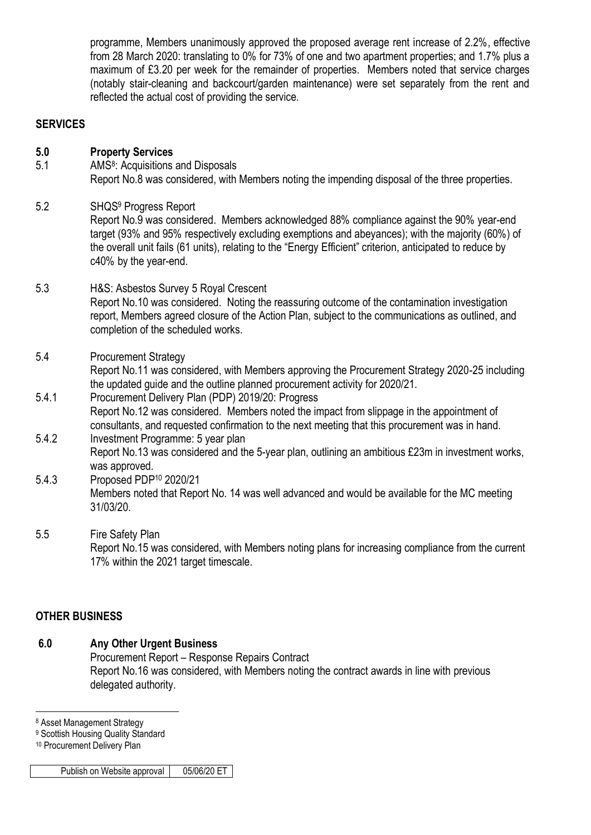programme, Members unanimously approved the proposed average rent increase of 2.2%, effective from 28 March 2020: translating to 0% for 73% of one and two apartment properties; and 1.7% plus a maximum of £3.20 per week for the remainder of properties. Members noted that service charges (notably stair-cleaning and backcourt/garden maintenance) were set separately from the rent and reflected the actual cost of providing the service.

#### **SERVICES**

#### **5.0 Property Services**

- 5.1 **AMS<sup>8</sup>: Acquisitions and Disposals** Report No.8 was considered, with Members noting the impending disposal of the three properties.
- 5.2 SHQS<sup>9</sup> Progress Report

Report No.9 was considered. Members acknowledged 88% compliance against the 90% year-end target (93% and 95% respectively excluding exemptions and abeyances); with the majority (60%) of the overall unit fails (61 units), relating to the "Energy Efficient" criterion, anticipated to reduce by c40% by the year-end.

- 5.3 H&S: Asbestos Survey 5 Royal Crescent Report No.10 was considered. Noting the reassuring outcome of the contamination investigation report, Members agreed closure of the Action Plan, subject to the communications as outlined, and completion of the scheduled works.
- 5.4 Procurement Strategy Report No.11 was considered, with Members approving the Procurement Strategy 2020-25 including the updated guide and the outline planned procurement activity for 2020/21.
- 5.4.1 Procurement Delivery Plan (PDP) 2019/20: Progress Report No.12 was considered. Members noted the impact from slippage in the appointment of consultants, and requested confirmation to the next meeting that this procurement was in hand.
- 5.4.2 Investment Programme: 5 year plan Report No.13 was considered and the 5-year plan, outlining an ambitious £23m in investment works, was approved.
- 5.4.3 Proposed PDP<sup>10</sup> 2020/21 Members noted that Report No. 14 was well advanced and would be available for the MC meeting 31/03/20.
- 5.5 Fire Safety Plan

Report No.15 was considered, with Members noting plans for increasing compliance from the current 17% within the 2021 target timescale.

### **OTHER BUSINESS**

## **6.0 Any Other Urgent Business**

Procurement Report – Response Repairs Contract Report No.16 was considered, with Members noting the contract awards in line with previous delegated authority.

<sup>8</sup> Asset Management Strategy

1

<sup>9</sup> Scottish Housing Quality Standard

<sup>10</sup> Procurement Delivery Plan

Publish on Website approval | 05/06/20 ET